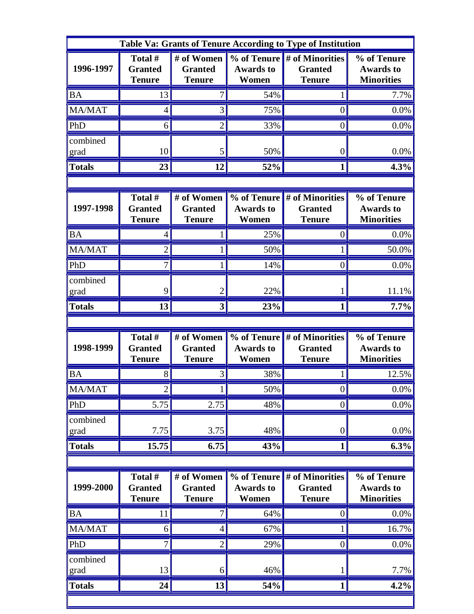| Table Va: Grants of Tenure According to Type of Institution |                                            |                                               |                                                                 |                                                    |                                                      |  |  |  |
|-------------------------------------------------------------|--------------------------------------------|-----------------------------------------------|-----------------------------------------------------------------|----------------------------------------------------|------------------------------------------------------|--|--|--|
| 1996-1997                                                   | Total #<br><b>Granted</b><br><b>Tenure</b> | # of Women<br><b>Granted</b><br><b>Tenure</b> | % of Tenure<br><b>Awards to</b><br>Women                        | # of Minorities<br><b>Granted</b><br><b>Tenure</b> | % of Tenure<br><b>Awards to</b><br><b>Minorities</b> |  |  |  |
| <b>BA</b>                                                   | 13                                         | 7                                             | 54%                                                             |                                                    | 7.7%                                                 |  |  |  |
| MA/MAT                                                      | $\overline{4}$                             | 3                                             | 75%                                                             | $\boldsymbol{0}$                                   | 0.0%                                                 |  |  |  |
| PhD                                                         | 6                                          | $\overline{2}$                                | 33%                                                             | 0                                                  | 0.0%                                                 |  |  |  |
| combined<br>grad                                            | 10                                         | 5                                             | 50%                                                             | 0                                                  | 0.0%                                                 |  |  |  |
| <b>Totals</b>                                               | 23                                         | 12                                            | 52%                                                             | 1                                                  | 4.3%                                                 |  |  |  |
|                                                             |                                            |                                               |                                                                 |                                                    |                                                      |  |  |  |
| 1997-1998                                                   | Total #<br><b>Granted</b><br><b>Tenure</b> | # of Women<br><b>Granted</b><br><b>Tenure</b> | % of Tenure<br><b>Awards to</b><br>Women                        | # of Minorities<br><b>Granted</b><br><b>Tenure</b> | % of Tenure<br><b>Awards to</b><br><b>Minorities</b> |  |  |  |
| <b>BA</b>                                                   | 4                                          |                                               | 25%                                                             | 0                                                  | 0.0%                                                 |  |  |  |
| MA/MAT                                                      | $\overline{2}$                             |                                               | 50%                                                             |                                                    | 50.0%                                                |  |  |  |
| PhD                                                         | 7                                          |                                               | 14%                                                             | 0                                                  | 0.0%                                                 |  |  |  |
| combined<br>grad                                            | 9                                          | $\overline{2}$                                | 22%                                                             |                                                    | 11.1%                                                |  |  |  |
| <b>Totals</b>                                               | 13                                         | 3                                             | 23%                                                             | 1                                                  | $7.7\%$                                              |  |  |  |
|                                                             |                                            |                                               |                                                                 |                                                    |                                                      |  |  |  |
|                                                             |                                            |                                               |                                                                 |                                                    |                                                      |  |  |  |
| 1998-1999                                                   | Total #<br><b>Granted</b><br><b>Tenure</b> | # of Women<br><b>Granted</b><br><b>Tenure</b> | $\overline{\frac{9}{6}}$ of Tenure<br><b>Awards to</b><br>Women | # of Minorities<br><b>Granted</b><br><b>Tenure</b> | % of Tenure<br><b>Awards to</b><br><b>Minorities</b> |  |  |  |
| <b>BA</b>                                                   | 8                                          | 3                                             | 38%                                                             |                                                    | 12.5%                                                |  |  |  |
| MA/MAT                                                      | $\overline{2}$                             |                                               | 50%                                                             | 0                                                  | 0.0%                                                 |  |  |  |
| PhD                                                         | 5.75                                       | 2.75                                          | 48%                                                             | $\boldsymbol{0}$                                   | 0.0%                                                 |  |  |  |
| combined<br>grad                                            | 7.75                                       | 3.75                                          | 48%                                                             | $\boldsymbol{0}$                                   | 0.0%                                                 |  |  |  |
| <b>Totals</b>                                               | 15.75                                      | 6.75                                          | 43%                                                             | $\mathbf{1}$                                       | 6.3%                                                 |  |  |  |
|                                                             |                                            |                                               |                                                                 |                                                    |                                                      |  |  |  |
| 1999-2000                                                   | Total #<br><b>Granted</b><br><b>Tenure</b> | # of Women<br><b>Granted</b><br><b>Tenure</b> | % of Tenure<br><b>Awards to</b><br>Women                        | # of Minorities<br><b>Granted</b><br><b>Tenure</b> | % of Tenure<br><b>Awards to</b><br><b>Minorities</b> |  |  |  |
| <b>BA</b>                                                   | 11                                         | 7                                             | 64%                                                             | $\overline{0}$                                     | $0.0\%$                                              |  |  |  |
| MA/MAT                                                      | 6                                          | 4                                             | 67%                                                             |                                                    | 16.7%                                                |  |  |  |
| PhD                                                         | 7                                          | $\overline{2}$                                | 29%                                                             | $\overline{0}$                                     | 0.0%                                                 |  |  |  |
| combined<br>grad                                            | 13                                         | 6                                             | 46%                                                             |                                                    | 7.7%                                                 |  |  |  |
| <b>Totals</b>                                               | 24                                         | 13                                            | 54%                                                             | $\mathbf{1}$                                       | 4.2%                                                 |  |  |  |